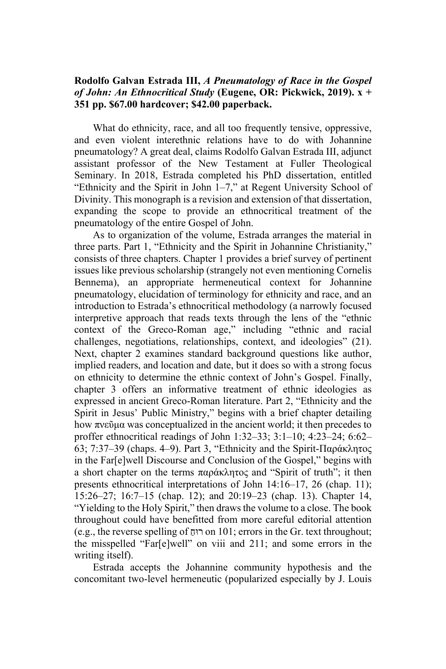## **Rodolfo Galvan Estrada III,** *A Pneumatology of Race in the Gospel of John: An Ethnocritical Study* **(Eugene, OR: Pickwick, 2019). x + 351 pp. \$67.00 hardcover; \$42.00 paperback.**

What do ethnicity, race, and all too frequently tensive, oppressive, and even violent interethnic relations have to do with Johannine pneumatology? A great deal, claims Rodolfo Galvan Estrada III, adjunct assistant professor of the New Testament at Fuller Theological Seminary. In 2018, Estrada completed his PhD dissertation, entitled "Ethnicity and the Spirit in John 1–7," at Regent University School of Divinity. This monograph is a revision and extension of that dissertation, expanding the scope to provide an ethnocritical treatment of the pneumatology of the entire Gospel of John.

As to organization of the volume, Estrada arranges the material in three parts. Part 1, "Ethnicity and the Spirit in Johannine Christianity," consists of three chapters. Chapter 1 provides a brief survey of pertinent issues like previous scholarship (strangely not even mentioning Cornelis Bennema), an appropriate hermeneutical context for Johannine pneumatology, elucidation of terminology for ethnicity and race, and an introduction to Estrada's ethnocritical methodology (a narrowly focused interpretive approach that reads texts through the lens of the "ethnic context of the Greco-Roman age," including "ethnic and racial challenges, negotiations, relationships, context, and ideologies" (21). Next, chapter 2 examines standard background questions like author, implied readers, and location and date, but it does so with a strong focus on ethnicity to determine the ethnic context of John's Gospel. Finally, chapter 3 offers an informative treatment of ethnic ideologies as expressed in ancient Greco-Roman literature. Part 2, "Ethnicity and the Spirit in Jesus' Public Ministry," begins with a brief chapter detailing how πνεῦμα was conceptualized in the ancient world; it then precedes to proffer ethnocritical readings of John 1:32–33; 3:1–10; 4:23–24; 6:62– 63; 7:37–39 (chaps. 4–9). Part 3, "Ethnicity and the Spirit-Παράκλητος in the Far[e]well Discourse and Conclusion of the Gospel," begins with a short chapter on the terms παράκλητος and "Spirit of truth"; it then presents ethnocritical interpretations of John 14:16–17, 26 (chap. 11); 15:26–27; 16:7–15 (chap. 12); and 20:19–23 (chap. 13). Chapter 14, "Yielding to the Holy Spirit," then draws the volume to a close. The book throughout could have benefitted from more careful editorial attention (e.g., the reverse spelling of רוּח on 101; errors in the Gr. text throughout; ַ the misspelled "Far[e]well" on viii and 211; and some errors in the writing itself).

Estrada accepts the Johannine community hypothesis and the concomitant two-level hermeneutic (popularized especially by J. Louis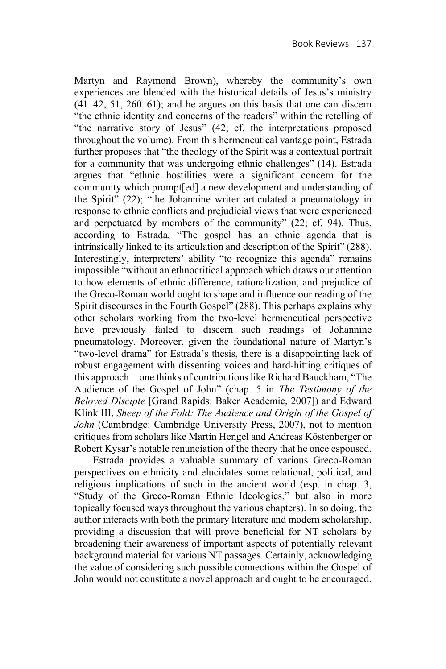Martyn and Raymond Brown), whereby the community's own experiences are blended with the historical details of Jesus's ministry  $(41-42, 51, 260-61)$ ; and he argues on this basis that one can discern "the ethnic identity and concerns of the readers" within the retelling of "the narrative story of Jesus" (42; cf. the interpretations proposed throughout the volume). From this hermeneutical vantage point, Estrada further proposes that "the theology of the Spirit was a contextual portrait for a community that was undergoing ethnic challenges" (14). Estrada argues that "ethnic hostilities were a significant concern for the community which prompt[ed] a new development and understanding of the Spirit" (22); "the Johannine writer articulated a pneumatology in response to ethnic conflicts and prejudicial views that were experienced and perpetuated by members of the community" (22; cf. 94). Thus, according to Estrada, "The gospel has an ethnic agenda that is intrinsically linked to its articulation and description of the Spirit" (288). Interestingly, interpreters' ability "to recognize this agenda" remains impossible "without an ethnocritical approach which draws our attention to how elements of ethnic difference, rationalization, and prejudice of the Greco-Roman world ought to shape and influence our reading of the Spirit discourses in the Fourth Gospel" (288). This perhaps explains why other scholars working from the two-level hermeneutical perspective have previously failed to discern such readings of Johannine pneumatology. Moreover, given the foundational nature of Martyn's "two-level drama" for Estrada's thesis, there is a disappointing lack of robust engagement with dissenting voices and hard-hitting critiques of this approach—one thinks of contributions like Richard Bauckham, "The Audience of the Gospel of John" (chap. 5 in *The Testimony of the Beloved Disciple* [Grand Rapids: Baker Academic, 2007]) and Edward Klink III, *Sheep of the Fold: The Audience and Origin of the Gospel of John* (Cambridge: Cambridge University Press, 2007), not to mention critiques from scholars like Martin Hengel and Andreas Köstenberger or Robert Kysar's notable renunciation of the theory that he once espoused.

Estrada provides a valuable summary of various Greco-Roman perspectives on ethnicity and elucidates some relational, political, and religious implications of such in the ancient world (esp. in chap. 3, "Study of the Greco-Roman Ethnic Ideologies," but also in more topically focused ways throughout the various chapters). In so doing, the author interacts with both the primary literature and modern scholarship, providing a discussion that will prove beneficial for NT scholars by broadening their awareness of important aspects of potentially relevant background material for various NT passages. Certainly, acknowledging the value of considering such possible connections within the Gospel of John would not constitute a novel approach and ought to be encouraged.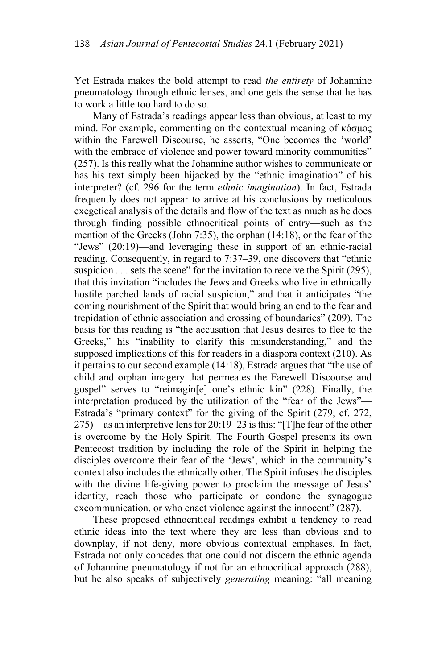Yet Estrada makes the bold attempt to read *the entirety* of Johannine pneumatology through ethnic lenses, and one gets the sense that he has to work a little too hard to do so.

Many of Estrada's readings appear less than obvious, at least to my mind. For example, commenting on the contextual meaning of κόσμος within the Farewell Discourse, he asserts, "One becomes the 'world' with the embrace of violence and power toward minority communities" (257). Is this really what the Johannine author wishes to communicate or has his text simply been hijacked by the "ethnic imagination" of his interpreter? (cf. 296 for the term *ethnic imagination*). In fact, Estrada frequently does not appear to arrive at his conclusions by meticulous exegetical analysis of the details and flow of the text as much as he does through finding possible ethnocritical points of entry—such as the mention of the Greeks (John 7:35), the orphan (14:18), or the fear of the "Jews" (20:19)—and leveraging these in support of an ethnic-racial reading. Consequently, in regard to 7:37–39, one discovers that "ethnic suspicion . . . sets the scene" for the invitation to receive the Spirit (295), that this invitation "includes the Jews and Greeks who live in ethnically hostile parched lands of racial suspicion," and that it anticipates "the coming nourishment of the Spirit that would bring an end to the fear and trepidation of ethnic association and crossing of boundaries" (209). The basis for this reading is "the accusation that Jesus desires to flee to the Greeks," his "inability to clarify this misunderstanding," and the supposed implications of this for readers in a diaspora context (210). As it pertains to our second example (14:18), Estrada argues that "the use of child and orphan imagery that permeates the Farewell Discourse and gospel" serves to "reimagin[e] one's ethnic kin" (228). Finally, the interpretation produced by the utilization of the "fear of the Jews"— Estrada's "primary context" for the giving of the Spirit (279; cf. 272, 275)—as an interpretive lens for 20:19–23 is this: "[T]he fear of the other is overcome by the Holy Spirit. The Fourth Gospel presents its own Pentecost tradition by including the role of the Spirit in helping the disciples overcome their fear of the 'Jews', which in the community's context also includes the ethnically other. The Spirit infuses the disciples with the divine life-giving power to proclaim the message of Jesus' identity, reach those who participate or condone the synagogue excommunication, or who enact violence against the innocent" (287).

These proposed ethnocritical readings exhibit a tendency to read ethnic ideas into the text where they are less than obvious and to downplay, if not deny, more obvious contextual emphases. In fact, Estrada not only concedes that one could not discern the ethnic agenda of Johannine pneumatology if not for an ethnocritical approach (288), but he also speaks of subjectively *generating* meaning: "all meaning